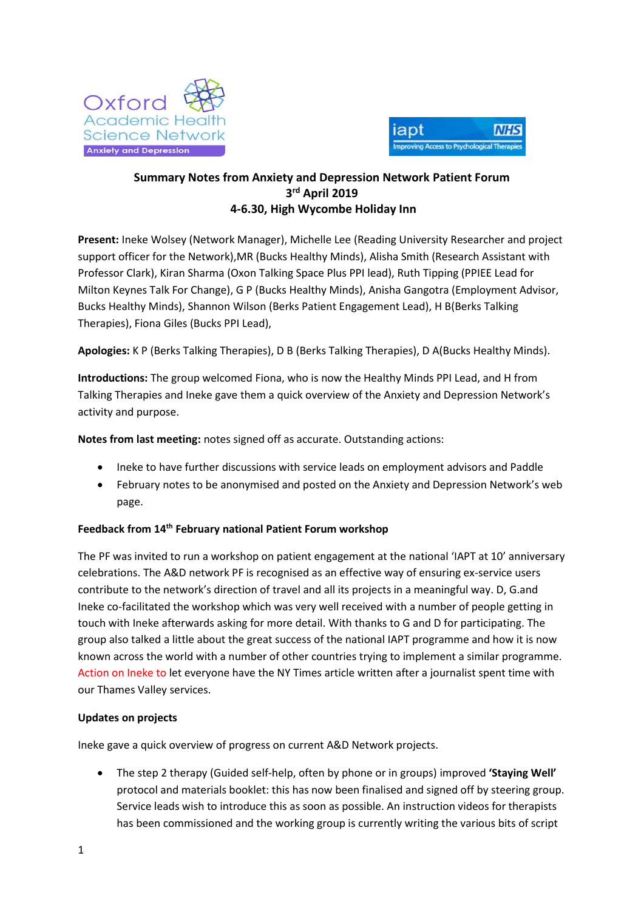



# **Summary Notes from Anxiety and Depression Network Patient Forum 3 rd April 2019 4-6.30, High Wycombe Holiday Inn**

**Present:** Ineke Wolsey (Network Manager), Michelle Lee (Reading University Researcher and project support officer for the Network),MR (Bucks Healthy Minds), Alisha Smith (Research Assistant with Professor Clark), Kiran Sharma (Oxon Talking Space Plus PPI lead), Ruth Tipping (PPIEE Lead for Milton Keynes Talk For Change), G P (Bucks Healthy Minds), Anisha Gangotra (Employment Advisor, Bucks Healthy Minds), Shannon Wilson (Berks Patient Engagement Lead), H B(Berks Talking Therapies), Fiona Giles (Bucks PPI Lead),

**Apologies:** K P (Berks Talking Therapies), D B (Berks Talking Therapies), D A(Bucks Healthy Minds).

**Introductions:** The group welcomed Fiona, who is now the Healthy Minds PPI Lead, and H from Talking Therapies and Ineke gave them a quick overview of the Anxiety and Depression Network's activity and purpose.

**Notes from last meeting:** notes signed off as accurate. Outstanding actions:

- Ineke to have further discussions with service leads on employment advisors and Paddle
- February notes to be anonymised and posted on the Anxiety and Depression Network's web page.

## **Feedback from 14th February national Patient Forum workshop**

The PF was invited to run a workshop on patient engagement at the national 'IAPT at 10' anniversary celebrations. The A&D network PF is recognised as an effective way of ensuring ex-service users contribute to the network's direction of travel and all its projects in a meaningful way. D, G.and Ineke co-facilitated the workshop which was very well received with a number of people getting in touch with Ineke afterwards asking for more detail. With thanks to G and D for participating. The group also talked a little about the great success of the national IAPT programme and how it is now known across the world with a number of other countries trying to implement a similar programme. Action on Ineke to let everyone have the NY Times article written after a journalist spent time with our Thames Valley services.

## **Updates on projects**

Ineke gave a quick overview of progress on current A&D Network projects.

 The step 2 therapy (Guided self-help, often by phone or in groups) improved **'Staying Well'** protocol and materials booklet: this has now been finalised and signed off by steering group. Service leads wish to introduce this as soon as possible. An instruction videos for therapists has been commissioned and the working group is currently writing the various bits of script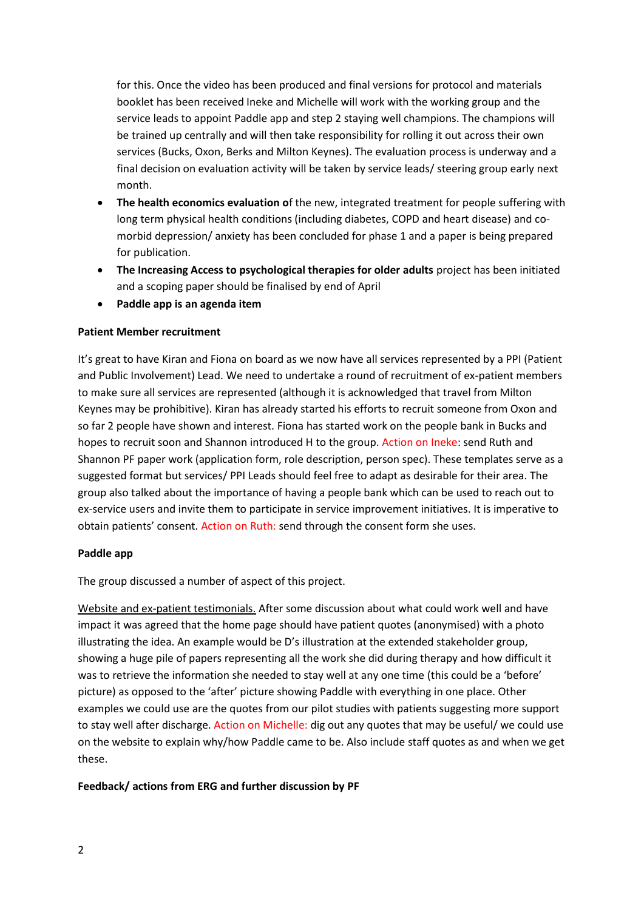for this. Once the video has been produced and final versions for protocol and materials booklet has been received Ineke and Michelle will work with the working group and the service leads to appoint Paddle app and step 2 staying well champions. The champions will be trained up centrally and will then take responsibility for rolling it out across their own services (Bucks, Oxon, Berks and Milton Keynes). The evaluation process is underway and a final decision on evaluation activity will be taken by service leads/ steering group early next month.

- **The health economics evaluation o**f the new, integrated treatment for people suffering with long term physical health conditions (including diabetes, COPD and heart disease) and comorbid depression/ anxiety has been concluded for phase 1 and a paper is being prepared for publication.
- **The Increasing Access to psychological therapies for older adults** project has been initiated and a scoping paper should be finalised by end of April
- **Paddle app is an agenda item**

## **Patient Member recruitment**

It's great to have Kiran and Fiona on board as we now have all services represented by a PPI (Patient and Public Involvement) Lead. We need to undertake a round of recruitment of ex-patient members to make sure all services are represented (although it is acknowledged that travel from Milton Keynes may be prohibitive). Kiran has already started his efforts to recruit someone from Oxon and so far 2 people have shown and interest. Fiona has started work on the people bank in Bucks and hopes to recruit soon and Shannon introduced H to the group. Action on Ineke: send Ruth and Shannon PF paper work (application form, role description, person spec). These templates serve as a suggested format but services/ PPI Leads should feel free to adapt as desirable for their area. The group also talked about the importance of having a people bank which can be used to reach out to ex-service users and invite them to participate in service improvement initiatives. It is imperative to obtain patients' consent. Action on Ruth: send through the consent form she uses.

#### **Paddle app**

The group discussed a number of aspect of this project.

Website and ex-patient testimonials. After some discussion about what could work well and have impact it was agreed that the home page should have patient quotes (anonymised) with a photo illustrating the idea. An example would be D's illustration at the extended stakeholder group, showing a huge pile of papers representing all the work she did during therapy and how difficult it was to retrieve the information she needed to stay well at any one time (this could be a 'before' picture) as opposed to the 'after' picture showing Paddle with everything in one place. Other examples we could use are the quotes from our pilot studies with patients suggesting more support to stay well after discharge. Action on Michelle: dig out any quotes that may be useful/ we could use on the website to explain why/how Paddle came to be. Also include staff quotes as and when we get these.

## **Feedback/ actions from ERG and further discussion by PF**